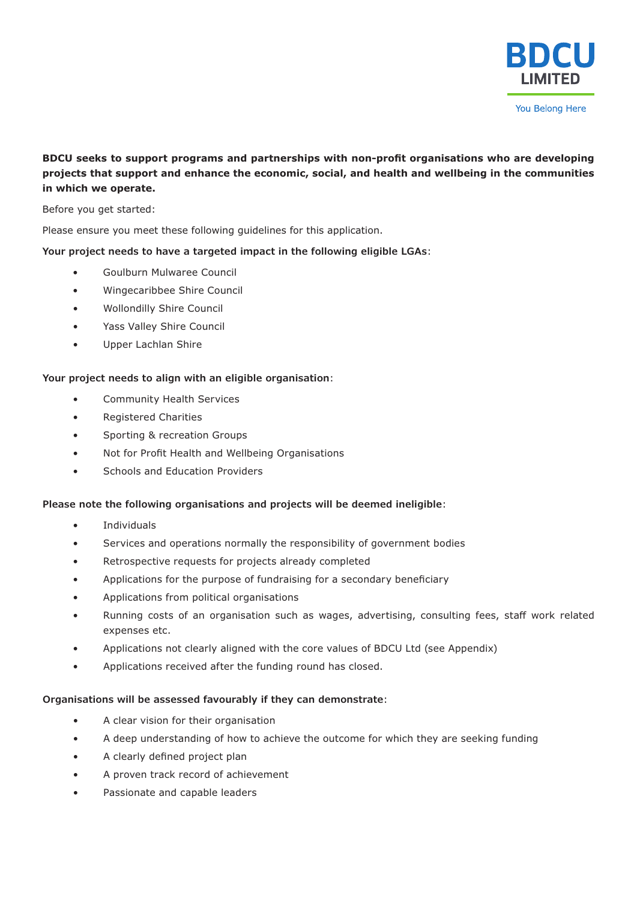

### **BDCU seeks to support programs and partnerships with non-profit organisations who are developing projects that support and enhance the economic, social, and health and wellbeing in the communities in which we operate.**

Before you get started:

Please ensure you meet these following guidelines for this application.

**Your project needs to have a targeted impact in the following eligible LGAs**:

- Goulburn Mulwaree Council
- Wingecaribbee Shire Council
- Wollondilly Shire Council
- Yass Valley Shire Council
- Upper Lachlan Shire

### **Your project needs to align with an eligible organisation**:

- Community Health Services
- Registered Charities
- Sporting & recreation Groups
- Not for Profit Health and Wellbeing Organisations
- Schools and Education Providers

### **Please note the following organisations and projects will be deemed ineligible**:

- **Individuals**
- Services and operations normally the responsibility of government bodies
- Retrospective requests for projects already completed
- Applications for the purpose of fundraising for a secondary beneficiary
- Applications from political organisations
- Running costs of an organisation such as wages, advertising, consulting fees, staff work related expenses etc.
- Applications not clearly aligned with the core values of BDCU Ltd (see Appendix)
- Applications received after the funding round has closed.

### **Organisations will be assessed favourably if they can demonstrate**:

- A clear vision for their organisation
- A deep understanding of how to achieve the outcome for which they are seeking funding
- A clearly defined project plan
- A proven track record of achievement
- Passionate and capable leaders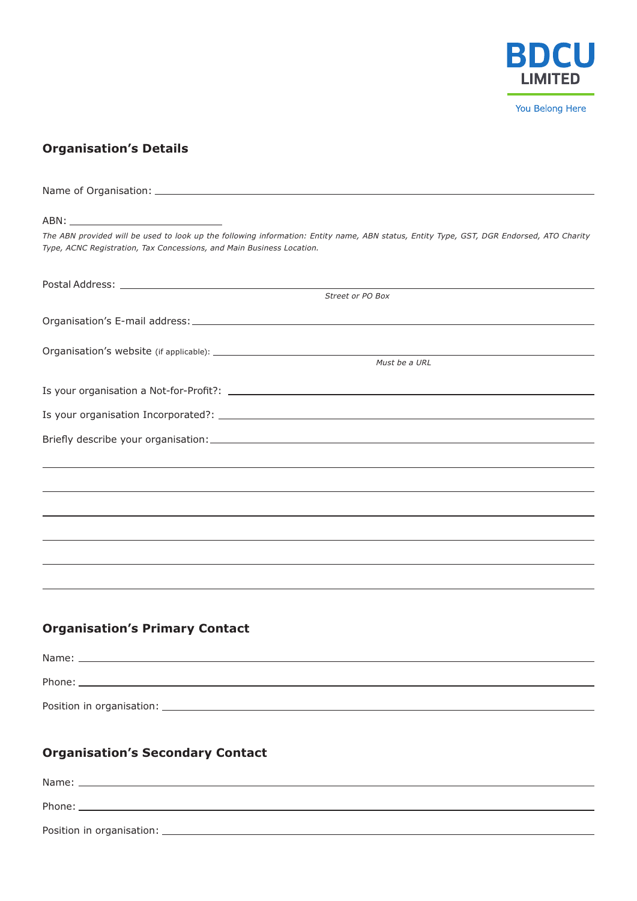

# **Organisation's Details**

Name of Organisation:

| ABN:                                                                                                                                                                                                              |
|-------------------------------------------------------------------------------------------------------------------------------------------------------------------------------------------------------------------|
| The ABN provided will be used to look up the following information: Entity name, ABN status, Entity Type, GST, DGR Endorsed, ATO Charity<br>Type, ACNC Registration, Tax Concessions, and Main Business Location. |
|                                                                                                                                                                                                                   |
| Street or PO Box                                                                                                                                                                                                  |
|                                                                                                                                                                                                                   |
|                                                                                                                                                                                                                   |
| Must be a URL                                                                                                                                                                                                     |
|                                                                                                                                                                                                                   |
|                                                                                                                                                                                                                   |
|                                                                                                                                                                                                                   |
|                                                                                                                                                                                                                   |
|                                                                                                                                                                                                                   |
|                                                                                                                                                                                                                   |
|                                                                                                                                                                                                                   |
|                                                                                                                                                                                                                   |
|                                                                                                                                                                                                                   |
|                                                                                                                                                                                                                   |
|                                                                                                                                                                                                                   |
| <b>Organisation's Primary Contact</b>                                                                                                                                                                             |
|                                                                                                                                                                                                                   |
| Phone:                                                                                                                                                                                                            |
|                                                                                                                                                                                                                   |
|                                                                                                                                                                                                                   |
| <b>Organisation's Secondary Contact</b>                                                                                                                                                                           |
|                                                                                                                                                                                                                   |
|                                                                                                                                                                                                                   |

Position in organisation: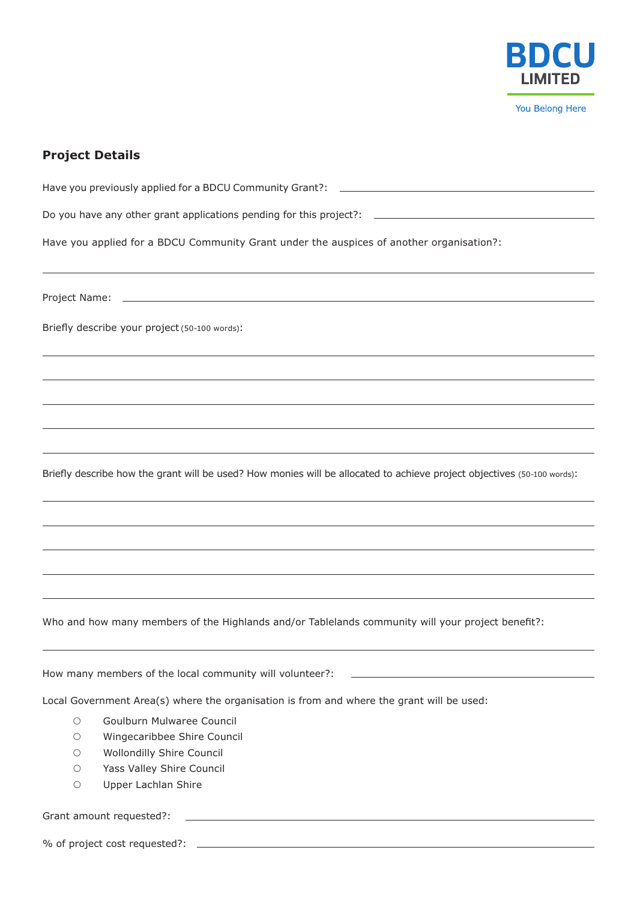

## **Project Details**

| Have you previously applied for a BDCU Community Grant?:<br><u> 1980 - Jan Sterling von Berger (* 1950)</u>             |
|-------------------------------------------------------------------------------------------------------------------------|
| Do you have any other grant applications pending for this project?: ________________________________                    |
| Have you applied for a BDCU Community Grant under the auspices of another organisation?:                                |
|                                                                                                                         |
|                                                                                                                         |
| Briefly describe your project (50-100 words):                                                                           |
|                                                                                                                         |
|                                                                                                                         |
|                                                                                                                         |
|                                                                                                                         |
| Briefly describe how the grant will be used? How monies will be allocated to achieve project objectives (50-100 words): |
|                                                                                                                         |
|                                                                                                                         |
|                                                                                                                         |
|                                                                                                                         |
| Who and how many members of the Highlands and/or Tablelands community will your project benefit?:                       |
| <u> 1989 - Johann Barn, mars et al. (b. 1989)</u><br>How many members of the local community will volunteer?:           |
| Local Government Area(s) where the organisation is from and where the grant will be used:                               |

- O Goulburn Mulwaree Council
- { Wingecaribbee Shire Council
- { Wollondilly Shire Council
- { Yass Valley Shire Council
- { Upper Lachlan Shire

### Grant amount requested?:

% of project cost requested?: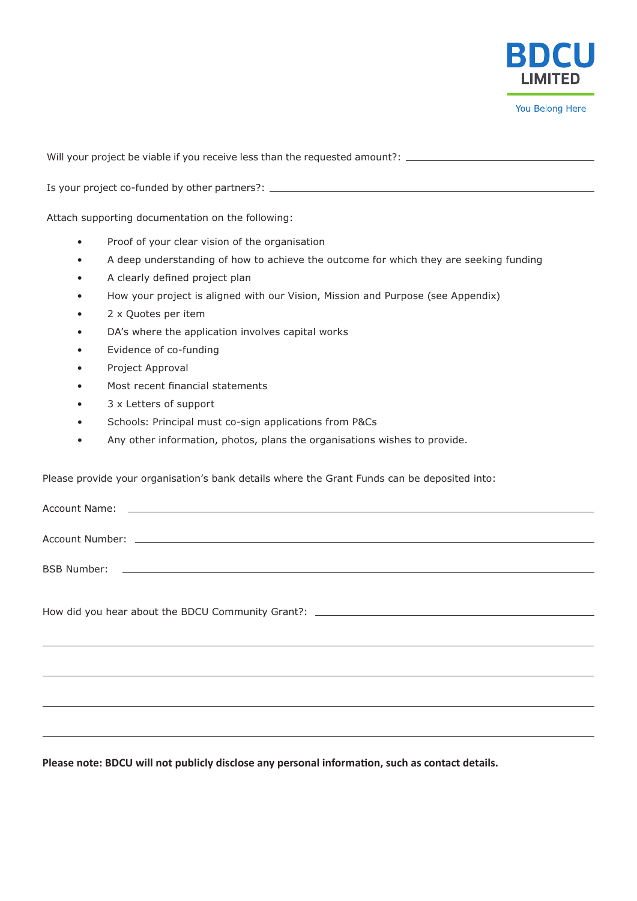

Will your project be viable if you receive less than the requested amount?: \_\_\_\_\_\_\_\_\_\_\_\_\_\_\_\_\_\_\_\_\_\_\_\_\_\_\_\_\_\_\_\_\_\_

Is your project co-funded by other partners?:

Attach supporting documentation on the following:

- Proof of your clear vision of the organisation
- A deep understanding of how to achieve the outcome for which they are seeking funding
- A clearly defined project plan
- How your project is aligned with our Vision, Mission and Purpose (see Appendix)
- 2 x Quotes per item
- DA's where the application involves capital works
- Evidence of co-funding
- Project Approval
- Most recent financial statements
- 3 x Letters of support
- Schools: Principal must co-sign applications from P&Cs
- Any other information, photos, plans the organisations wishes to provide.

Please provide your organisation's bank details where the Grant Funds can be deposited into:

| Account Name: Account Name: Account Name: Account Name: Account Name: Account Name: Account Name: Account Name: |  |
|-----------------------------------------------------------------------------------------------------------------|--|
|                                                                                                                 |  |
|                                                                                                                 |  |
|                                                                                                                 |  |
|                                                                                                                 |  |
|                                                                                                                 |  |
|                                                                                                                 |  |
|                                                                                                                 |  |

**Please note: BDCU will not publicly disclose any personal information, such as contact details.**